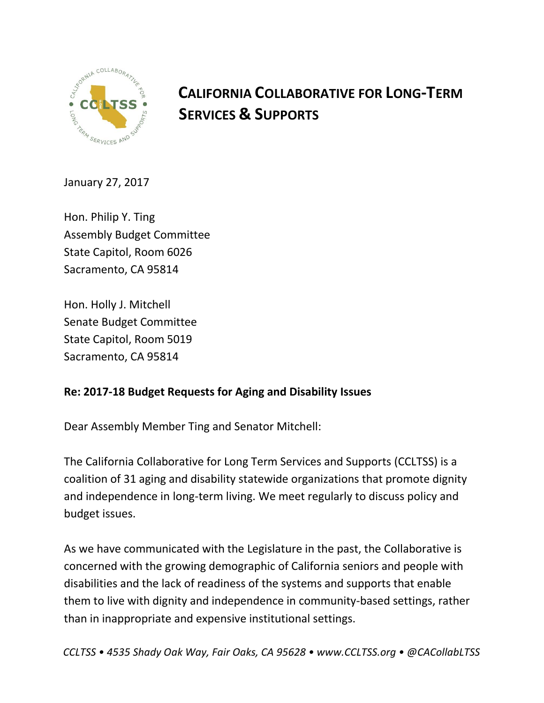

# **CALIFORNIA COLLABORATIVE FOR LONG-TERM SERVICES & SUPPORTS**

January 27, 2017

Hon. Philip Y. Ting Assembly Budget Committee State Capitol, Room 6026 Sacramento, CA 95814

Hon. Holly J. Mitchell Senate Budget Committee State Capitol, Room 5019 Sacramento, CA 95814

## **Re: 2017-18 Budget Requests for Aging and Disability Issues**

Dear Assembly Member Ting and Senator Mitchell:

The California Collaborative for Long Term Services and Supports (CCLTSS) is a coalition of 31 aging and disability statewide organizations that promote dignity and independence in long-term living. We meet regularly to discuss policy and budget issues.

As we have communicated with the Legislature in the past, the Collaborative is concerned with the growing demographic of California seniors and people with disabilities and the lack of readiness of the systems and supports that enable them to live with dignity and independence in community-based settings, rather than in inappropriate and expensive institutional settings.

*CCLTSS • 4535 Shady Oak Way, Fair Oaks, CA 95628 • www.CCLTSS.org • @CACollabLTSS*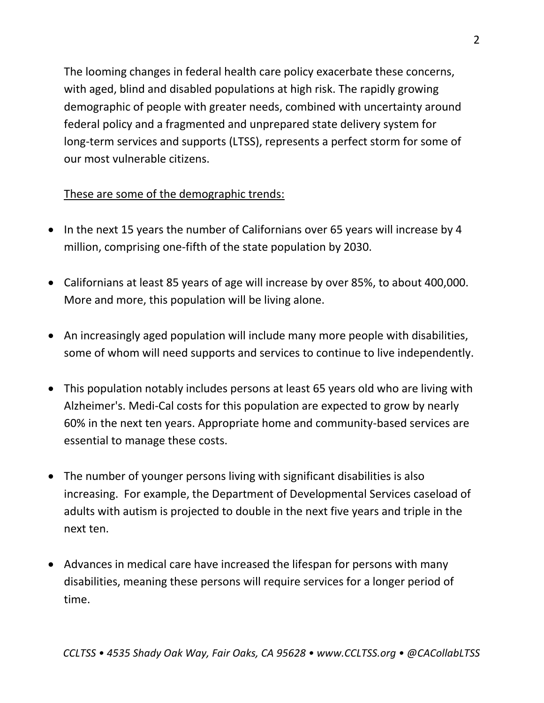The looming changes in federal health care policy exacerbate these concerns, with aged, blind and disabled populations at high risk. The rapidly growing demographic of people with greater needs, combined with uncertainty around federal policy and a fragmented and unprepared state delivery system for long-term services and supports (LTSS), represents a perfect storm for some of our most vulnerable citizens.

## These are some of the demographic trends:

- In the next 15 years the number of Californians over 65 years will increase by 4 million, comprising one-fifth of the state population by 2030.
- Californians at least 85 years of age will increase by over 85%, to about 400,000. More and more, this population will be living alone.
- An increasingly aged population will include many more people with disabilities, some of whom will need supports and services to continue to live independently.
- This population notably includes persons at least 65 years old who are living with Alzheimer's. Medi-Cal costs for this population are expected to grow by nearly 60% in the next ten years. Appropriate home and community-based services are essential to manage these costs.
- The number of younger persons living with significant disabilities is also increasing. For example, the Department of Developmental Services caseload of adults with autism is projected to double in the next five years and triple in the next ten.
- Advances in medical care have increased the lifespan for persons with many disabilities, meaning these persons will require services for a longer period of time.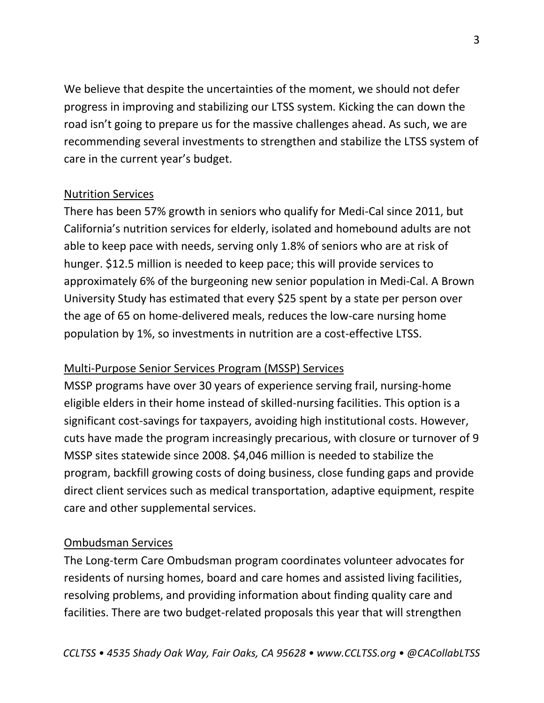We believe that despite the uncertainties of the moment, we should not defer progress in improving and stabilizing our LTSS system. Kicking the can down the road isn't going to prepare us for the massive challenges ahead. As such, we are recommending several investments to strengthen and stabilize the LTSS system of care in the current year's budget.

### Nutrition Services

There has been 57% growth in seniors who qualify for Medi-Cal since 2011, but California's nutrition services for elderly, isolated and homebound adults are not able to keep pace with needs, serving only 1.8% of seniors who are at risk of hunger. \$12.5 million is needed to keep pace; this will provide services to approximately 6% of the burgeoning new senior population in Medi-Cal. A Brown University Study has estimated that every \$25 spent by a state per person over the age of 65 on home-delivered meals, reduces the low-care nursing home population by 1%, so investments in nutrition are a cost-effective LTSS.

## Multi-Purpose Senior Services Program (MSSP) Services

MSSP programs have over 30 years of experience serving frail, nursing-home eligible elders in their home instead of skilled-nursing facilities. This option is a significant cost-savings for taxpayers, avoiding high institutional costs. However, cuts have made the program increasingly precarious, with closure or turnover of 9 MSSP sites statewide since 2008. \$4,046 million is needed to stabilize the program, backfill growing costs of doing business, close funding gaps and provide direct client services such as medical transportation, adaptive equipment, respite care and other supplemental services.

### Ombudsman Services

The Long-term Care Ombudsman program coordinates volunteer advocates for residents of nursing homes, board and care homes and assisted living facilities, resolving problems, and providing information about finding quality care and facilities. There are two budget-related proposals this year that will strengthen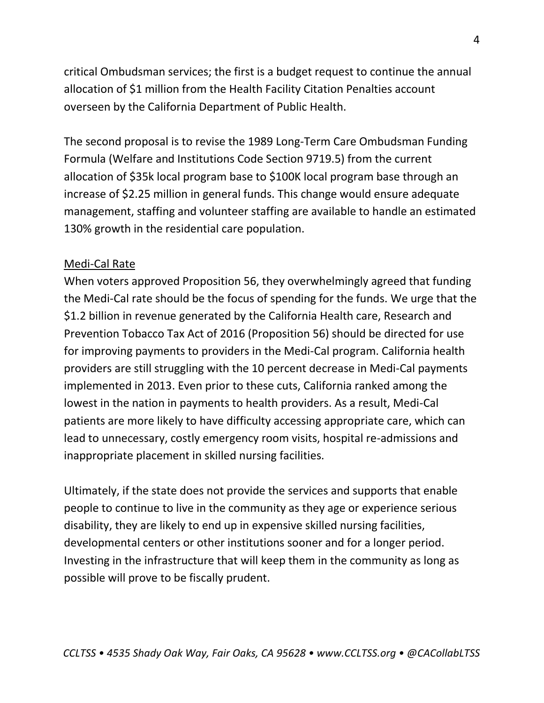critical Ombudsman services; the first is a budget request to continue the annual allocation of \$1 million from the Health Facility Citation Penalties account overseen by the California Department of Public Health.

The second proposal is to revise the 1989 Long-Term Care Ombudsman Funding Formula (Welfare and Institutions Code Section 9719.5) from the current allocation of \$35k local program base to \$100K local program base through an increase of \$2.25 million in general funds. This change would ensure adequate management, staffing and volunteer staffing are available to handle an estimated 130% growth in the residential care population.

#### Medi-Cal Rate

When voters approved Proposition 56, they overwhelmingly agreed that funding the Medi-Cal rate should be the focus of spending for the funds. We urge that the \$1.2 billion in revenue generated by the California Health care, Research and Prevention Tobacco Tax Act of 2016 (Proposition 56) should be directed for use for improving payments to providers in the Medi-Cal program. California health providers are still struggling with the 10 percent decrease in Medi-Cal payments implemented in 2013. Even prior to these cuts, California ranked among the lowest in the nation in payments to health providers. As a result, Medi-Cal patients are more likely to have difficulty accessing appropriate care, which can lead to unnecessary, costly emergency room visits, hospital re-admissions and inappropriate placement in skilled nursing facilities.

Ultimately, if the state does not provide the services and supports that enable people to continue to live in the community as they age or experience serious disability, they are likely to end up in expensive skilled nursing facilities, developmental centers or other institutions sooner and for a longer period. Investing in the infrastructure that will keep them in the community as long as possible will prove to be fiscally prudent.